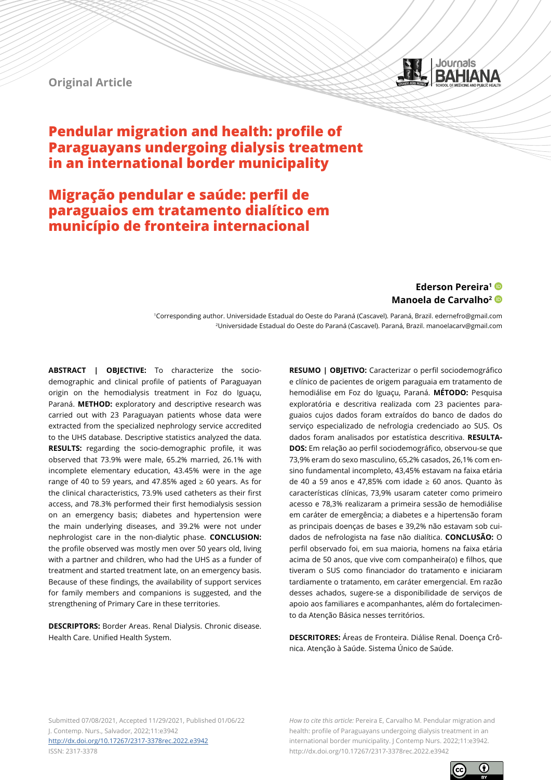**Original Article**



# **Pendular migration and health: profile of Paraguayans undergoing dialysis treatment in an international border municipality**

# **Migração pendular e saúde: perfil de paraguaios em tratamento dialítico em município de fronteira internacional**

### **Ederson Pereira1 Manoela de Carvalho2**

1Corresponding author. Universidade Estadual do Oeste do Paraná (Cascavel). Paraná, Brazil. edernefro@gmail.com 2Universidade Estadual do Oeste do Paraná (Cascavel). Paraná, Brazil. manoelacarv@gmail.com

**ABSTRACT | OBJECTIVE:** To characterize the sociodemographic and clinical profile of patients of Paraguayan origin on the hemodialysis treatment in Foz do Iguaçu, Paraná. **METHOD:** exploratory and descriptive research was carried out with 23 Paraguayan patients whose data were extracted from the specialized nephrology service accredited to the UHS database. Descriptive statistics analyzed the data. **RESULTS:** regarding the socio-demographic profile, it was observed that 73.9% were male, 65.2% married, 26.1% with incomplete elementary education, 43.45% were in the age range of 40 to 59 years, and 47.85% aged  $\geq 60$  years. As for the clinical characteristics, 73.9% used catheters as their first access, and 78.3% performed their first hemodialysis session on an emergency basis; diabetes and hypertension were the main underlying diseases, and 39.2% were not under nephrologist care in the non-dialytic phase. **CONCLUSION:** the profile observed was mostly men over 50 years old, living with a partner and children, who had the UHS as a funder of treatment and started treatment late, on an emergency basis. Because of these findings, the availability of support services for family members and companions is suggested, and the strengthening of Primary Care in these territories.

**DESCRIPTORS:** Border Areas. Renal Dialysis. Chronic disease. Health Care. Unified Health System.

**RESUMO | OBJETIVO:** Caracterizar o perfil sociodemográfico e clínico de pacientes de origem paraguaia em tratamento de hemodiálise em Foz do Iguaçu, Paraná. **MÉTODO:** Pesquisa exploratória e descritiva realizada com 23 pacientes paraguaios cujos dados foram extraídos do banco de dados do serviço especializado de nefrologia credenciado ao SUS. Os dados foram analisados por estatística descritiva. **RESULTA-DOS:** Em relação ao perfil sociodemográfico, observou-se que 73,9% eram do sexo masculino, 65,2% casados, 26,1% com ensino fundamental incompleto, 43,45% estavam na faixa etária de 40 a 59 anos e 47,85% com idade ≥ 60 anos. Quanto às características clínicas, 73,9% usaram cateter como primeiro acesso e 78,3% realizaram a primeira sessão de hemodiálise em caráter de emergência; a diabetes e a hipertensão foram as principais doenças de bases e 39,2% não estavam sob cuidados de nefrologista na fase não dialítica. **CONCLUSÃO:** O perfil observado foi, em sua maioria, homens na faixa etária acima de 50 anos, que vive com companheira(o) e filhos, que tiveram o SUS como financiador do tratamento e iniciaram tardiamente o tratamento, em caráter emergencial. Em razão desses achados, sugere-se a disponibilidade de serviços de apoio aos familiares e acompanhantes, além do fortalecimento da Atenção Básica nesses territórios.

**DESCRITORES:** Áreas de Fronteira. Diálise Renal. Doença Crônica. Atenção à Saúde. Sistema Único de Saúde.

Submitted 07/08/2021, Accepted 11/29/2021, Published 01/06/22 J. Contemp. Nurs., Salvador, 2022;11:e3942 <http://dx.doi.org/10.17267/2317-3378rec.2022.e3942> ISSN: 2317-3378

*How to cite this article:* Pereira E, Carvalho M. Pendular migration and health: profile of Paraguayans undergoing dialysis treatment in an international border municipality. J Contemp Nurs. 2022;11:e3942. http://dx.doi.org/10.17267/2317-3378rec.2022.e3942

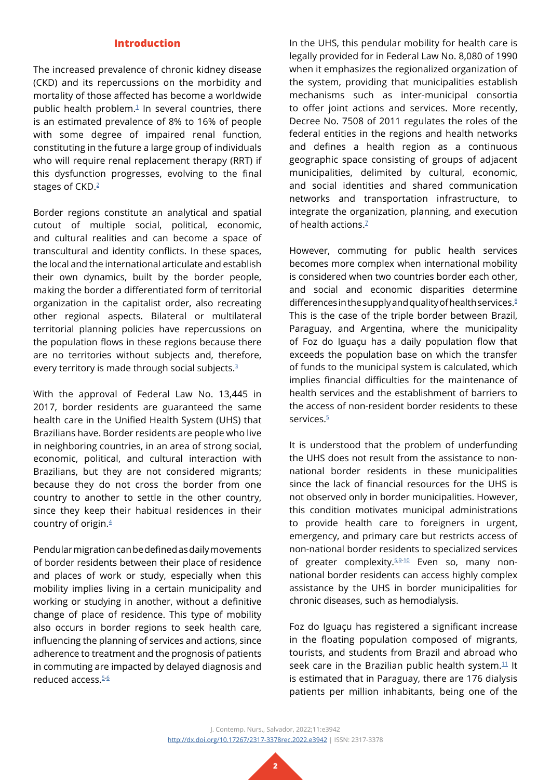## **Introduction**

The increased prevalence of chronic kidney disease (CKD) and its repercussions on the morbidity and mortality of those affected has become a worldwide public health problem. $1$  In several countries, there is an estimated prevalence of 8% to 16% of people with some degree of impaired renal function, constituting in the future a large group of individuals who will require renal replacement therapy (RRT) if this dysfunction progresses, evolving to the final stages of CKD[.2](#page-7-1)

Border regions constitute an analytical and spatial cutout of multiple social, political, economic, and cultural realities and can become a space of transcultural and identity conflicts. In these spaces, the local and the international articulate and establish their own dynamics, built by the border people, making the border a differentiated form of territorial organization in the capitalist order, also recreating other regional aspects. Bilateral or multilateral territorial planning policies have repercussions on the population flows in these regions because there are no territories without subjects and, therefore, every territory is made through social subjects.<sup>[3](#page-7-2)</sup>

With the approval of Federal Law No. 13,445 in 2017, border residents are guaranteed the same health care in the Unified Health System (UHS) that Brazilians have. Border residents are people who live in neighboring countries, in an area of strong social, economic, political, and cultural interaction with Brazilians, but they are not considered migrants; because they do not cross the border from one country to another to settle in the other country, since they keep their habitual residences in their country of origin.[4](#page-7-3)

Pendular migration can be defined as daily movements of border residents between their place of residence and places of work or study, especially when this mobility implies living in a certain municipality and working or studying in another, without a definitive change of place of residence. This type of mobility also occurs in border regions to seek health care, influencing the planning of services and actions, since adherence to treatment and the prognosis of patients in commuting are impacted by delayed diagnosis and reduced access.[5](#page-7-4)[-6](#page-7-5)

In the UHS, this pendular mobility for health care is legally provided for in Federal Law No. 8,080 of 1990 when it emphasizes the regionalized organization of the system, providing that municipalities establish mechanisms such as inter-municipal consortia to offer joint actions and services. More recently, Decree No. 7508 of 2011 regulates the roles of the federal entities in the regions and health networks and defines a health region as a continuous geographic space consisting of groups of adjacent municipalities, delimited by cultural, economic, and social identities and shared communication networks and transportation infrastructure, to integrate the organization, planning, and execution of health actions  $\frac{7}{2}$ 

However, commuting for public health services becomes more complex when international mobility is considered when two countries border each other, and social and economic disparities determine differences in the supply and quality of health services. $8$ This is the case of the triple border between Brazil, Paraguay, and Argentina, where the municipality of Foz do Iguaçu has a daily population flow that exceeds the population base on which the transfer of funds to the municipal system is calculated, which implies financial difficulties for the maintenance of health services and the establishment of barriers to the access of non-resident border residents to these services.<sup>5</sup>

It is understood that the problem of underfunding the UHS does not result from the assistance to nonnational border residents in these municipalities since the lack of financial resources for the UHS is not observed only in border municipalities. However, this condition motivates municipal administrations to provide health care to foreigners in urgent, emergency, and primary care but restricts access of non-national border residents to specialized services of greater complexity. $5.9 - 10$  $5.9 - 10$  $5.9 - 10$  $5.9 - 10$  Even so, many nonnational border residents can access highly complex assistance by the UHS in border municipalities for chronic diseases, such as hemodialysis.

Foz do Iguaçu has registered a significant increase in the floating population composed of migrants, tourists, and students from Brazil and abroad who seek care in the Brazilian public health system. $11$  It is estimated that in Paraguay, there are 176 dialysis patients per million inhabitants, being one of the

J. Contemp. Nurs., Salvador, 2022;11:e3942 <http://dx.doi.org/10.17267/2317-3378rec.2022.e3942>| ISSN: 2317-3378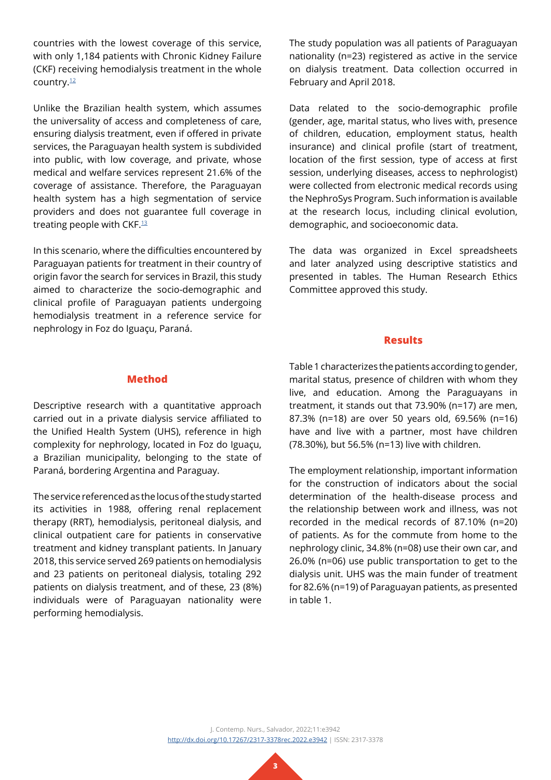countries with the lowest coverage of this service, with only 1,184 patients with Chronic Kidney Failure (CKF) receiving hemodialysis treatment in the whole country.<sup>[12](#page-7-11)</sup>

Unlike the Brazilian health system, which assumes the universality of access and completeness of care, ensuring dialysis treatment, even if offered in private services, the Paraguayan health system is subdivided into public, with low coverage, and private, whose medical and welfare services represent 21.6% of the coverage of assistance. Therefore, the Paraguayan health system has a high segmentation of service providers and does not guarantee full coverage in treating people with CKF.<sup>[13](#page-7-12)</sup>

In this scenario, where the difficulties encountered by Paraguayan patients for treatment in their country of origin favor the search for services in Brazil, this study aimed to characterize the socio-demographic and clinical profile of Paraguayan patients undergoing hemodialysis treatment in a reference service for nephrology in Foz do Iguaçu, Paraná.

The study population was all patients of Paraguayan nationality (n=23) registered as active in the service on dialysis treatment. Data collection occurred in February and April 2018.

Data related to the socio-demographic profile (gender, age, marital status, who lives with, presence of children, education, employment status, health insurance) and clinical profile (start of treatment, location of the first session, type of access at first session, underlying diseases, access to nephrologist) were collected from electronic medical records using the NephroSys Program. Such information is available at the research locus, including clinical evolution, demographic, and socioeconomic data.

The data was organized in Excel spreadsheets and later analyzed using descriptive statistics and presented in tables. The Human Research Ethics Committee approved this study.

## **Results**

## **Method**

Descriptive research with a quantitative approach carried out in a private dialysis service affiliated to the Unified Health System (UHS), reference in high complexity for nephrology, located in Foz do Iguaçu, a Brazilian municipality, belonging to the state of Paraná, bordering Argentina and Paraguay.

The service referenced as the locus of the study started its activities in 1988, offering renal replacement therapy (RRT), hemodialysis, peritoneal dialysis, and clinical outpatient care for patients in conservative treatment and kidney transplant patients. In January 2018, this service served 269 patients on hemodialysis and 23 patients on peritoneal dialysis, totaling 292 patients on dialysis treatment, and of these, 23 (8%) individuals were of Paraguayan nationality were performing hemodialysis.

Table 1 characterizes the patients according to gender, marital status, presence of children with whom they live, and education. Among the Paraguayans in treatment, it stands out that 73.90% (n=17) are men, 87.3% (n=18) are over 50 years old, 69.56% (n=16) have and live with a partner, most have children (78.30%), but 56.5% (n=13) live with children.

The employment relationship, important information for the construction of indicators about the social determination of the health-disease process and the relationship between work and illness, was not recorded in the medical records of 87.10% (n=20) of patients. As for the commute from home to the nephrology clinic, 34.8% (n=08) use their own car, and 26.0% (n=06) use public transportation to get to the dialysis unit. UHS was the main funder of treatment for 82.6% (n=19) of Paraguayan patients, as presented in table 1.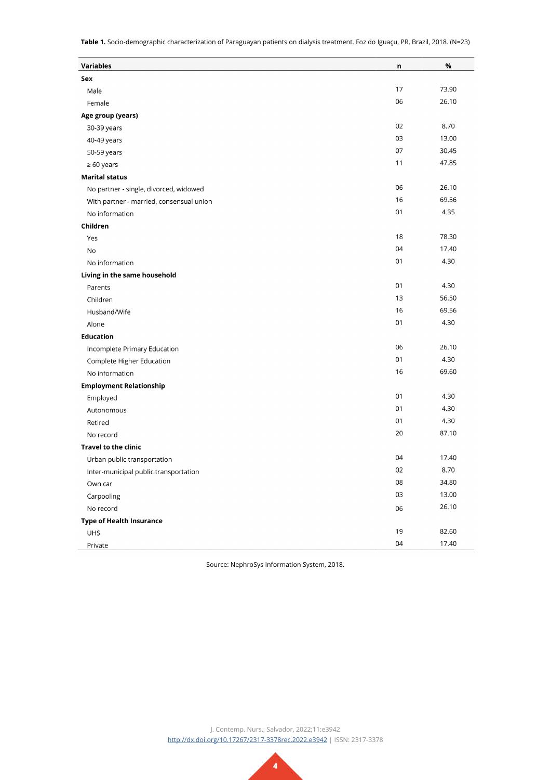**Table 1.** Socio-demographic characterization of Paraguayan patients on dialysis treatment. Foz do Iguaçu, PR, Brazil, 2018. (N=23)

| <b>Variables</b>                         | n  | %     |
|------------------------------------------|----|-------|
| Sex                                      |    |       |
| Male                                     | 17 | 73.90 |
| Female                                   | 06 | 26.10 |
| Age group (years)                        |    |       |
| 30-39 years                              | 02 | 8.70  |
| 40-49 years                              | 03 | 13.00 |
| 50-59 years                              | 07 | 30.45 |
| $\geq 60$ years                          | 11 | 47.85 |
| <b>Marital status</b>                    |    |       |
| No partner - single, divorced, widowed   | 06 | 26.10 |
| With partner - married, consensual union | 16 | 69.56 |
| No information                           | 01 | 4.35  |
| Children                                 |    |       |
| Yes                                      | 18 | 78.30 |
| No                                       | 04 | 17.40 |
| No information                           | 01 | 4.30  |
| Living in the same household             |    |       |
| Parents                                  | 01 | 4.30  |
| Children                                 | 13 | 56.50 |
| Husband/Wife                             | 16 | 69.56 |
| Alone                                    | 01 | 4.30  |
| <b>Education</b>                         |    |       |
| Incomplete Primary Education             | 06 | 26.10 |
| Complete Higher Education                | 01 | 4.30  |
| No information                           | 16 | 69.60 |
| <b>Employment Relationship</b>           |    |       |
| Employed                                 | 01 | 4.30  |
| Autonomous                               | 01 | 4.30  |
| Retired                                  | 01 | 4.30  |
| No record                                | 20 | 87.10 |
| <b>Travel to the clinic</b>              |    |       |
| Urban public transportation              | 04 | 17.40 |
| Inter-municipal public transportation    | 02 | 8.70  |
| Own car                                  | 08 | 34.80 |
| Carpooling                               | 03 | 13.00 |
| No record                                | 06 | 26.10 |
| <b>Type of Health Insurance</b>          |    |       |
| UHS                                      | 19 | 82.60 |
| Private                                  | 04 | 17.40 |

Source: NephroSys Information System, 2018.

J. Contemp. Nurs., Salvador, 2022;11:e3942 <http://dx.doi.org/10.17267/2317-3378rec.2022.e3942>| ISSN: 2317-3378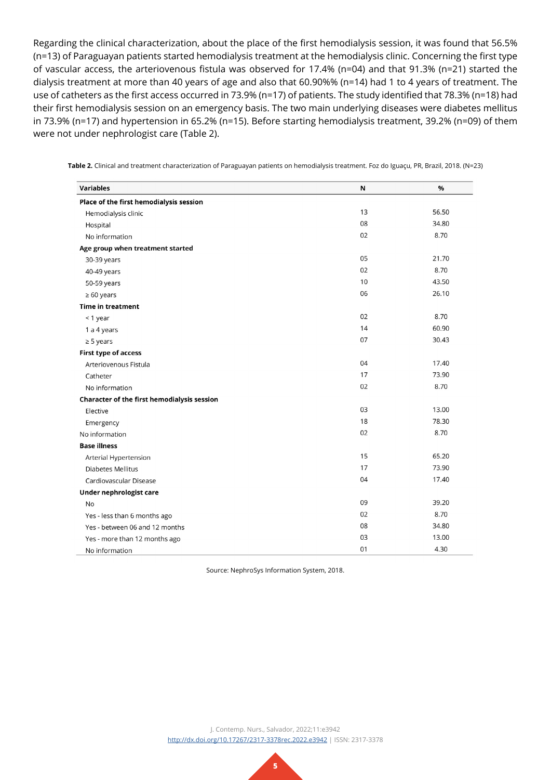Regarding the clinical characterization, about the place of the first hemodialysis session, it was found that 56.5% (n=13) of Paraguayan patients started hemodialysis treatment at the hemodialysis clinic. Concerning the first type of vascular access, the arteriovenous fistula was observed for 17.4% (n=04) and that 91.3% (n=21) started the dialysis treatment at more than 40 years of age and also that 60.90%% (n=14) had 1 to 4 years of treatment. The use of catheters as the first access occurred in 73.9% (n=17) of patients. The study identified that 78.3% (n=18) had their first hemodialysis session on an emergency basis. The two main underlying diseases were diabetes mellitus in 73.9% (n=17) and hypertension in 65.2% (n=15). Before starting hemodialysis treatment, 39.2% (n=09) of them were not under nephrologist care (Table 2).

| <b>Variables</b>                            | N  | %     |
|---------------------------------------------|----|-------|
| Place of the first hemodialysis session     |    |       |
| Hemodialysis clinic                         | 13 | 56.50 |
| Hospital                                    | 08 | 34.80 |
| No information                              | 02 | 8.70  |
| Age group when treatment started            |    |       |
| 30-39 years                                 | 05 | 21.70 |
| 40-49 years                                 | 02 | 8.70  |
| 50-59 years                                 | 10 | 43.50 |
| $\geq 60$ years                             | 06 | 26.10 |
| <b>Time in treatment</b>                    |    |       |
| <1 year                                     | 02 | 8.70  |
| 1 a 4 years                                 | 14 | 60.90 |
| $\geq$ 5 years                              | 07 | 30.43 |
| <b>First type of access</b>                 |    |       |
| Arteriovenous Fistula                       | 04 | 17.40 |
| Catheter                                    | 17 | 73.90 |
| No information                              | 02 | 8.70  |
| Character of the first hemodialysis session |    |       |
| Elective                                    | 03 | 13.00 |
| Emergency                                   | 18 | 78.30 |
| No information                              | 02 | 8.70  |
| <b>Base illness</b>                         |    |       |
| Arterial Hypertension                       | 15 | 65.20 |
| <b>Diabetes Mellitus</b>                    | 17 | 73.90 |
| Cardiovascular Disease                      | 04 | 17.40 |
| Under nephrologist care                     |    |       |
| No                                          | 09 | 39.20 |
| Yes - less than 6 months ago                | 02 | 8.70  |
| Yes - between 06 and 12 months              | 08 | 34.80 |
| Yes - more than 12 months ago               | 03 | 13.00 |
| No information                              | 01 | 4.30  |

**Table 2.** Clinical and treatment characterization of Paraguayan patients on hemodialysis treatment. Foz do Iguaçu, PR, Brazil, 2018. (N=23)

Source: NephroSys Information System, 2018.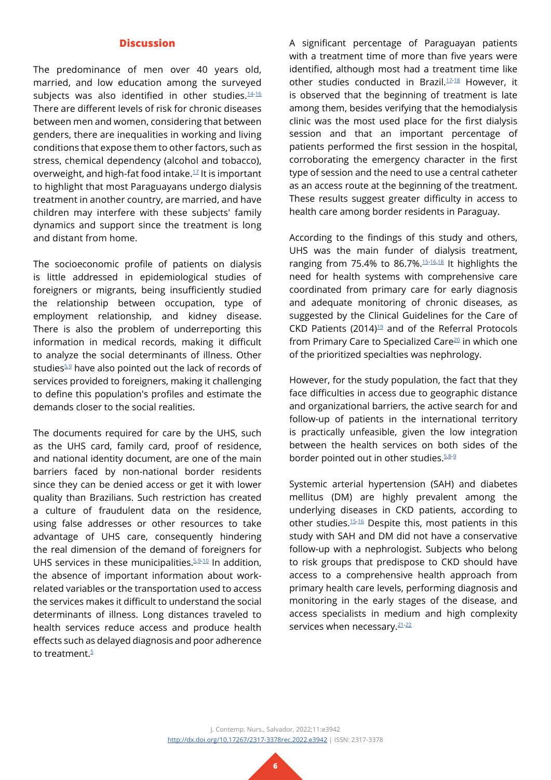## **Discussion**

The predominance of men over 40 years old, married, and low education among the surveyed subjects was also identified in other studies.<sup>[14-](#page-7-13)16</sup> There are different levels of risk for chronic diseases between men and women, considering that between genders, there are inequalities in working and living conditions that expose them to other factors, such as stress, chemical dependency (alcohol and tobacco), overweight, and high-fat food intake.[17](#page-8-0) It is important to highlight that most Paraguayans undergo dialysis treatment in another country, are married, and have children may interfere with these subjects' family dynamics and support since the treatment is long and distant from home.

The socioeconomic profile of patients on dialysis is little addressed in epidemiological studies of foreigners or migrants, being insufficiently studied the relationship between occupation, type of employment relationship, and kidney disease. There is also the problem of underreporting this information in medical records, making it difficult to analyze the social determinants of illness. Other studies<sup>5,9</sup> have also pointed out the lack of records of services provided to foreigners, making it challenging to define this population's profiles and estimate the demands closer to the social realities.

The documents required for care by the UHS, such as the UHS card, family card, proof of residence, and national identity document, are one of the main barriers faced by non-national border residents since they can be denied access or get it with lower quality than Brazilians. Such restriction has created a culture of fraudulent data on the residence, using false addresses or other resources to take advantage of UHS care, consequently hindering the real dimension of the demand of foreigners for UHS services in these municipalities.<sup>[5](#page-7-4),[9](#page-7-8)-10</sup> In addition, the absence of important information about workrelated variables or the transportation used to access the services makes it difficult to understand the social determinants of illness. Long distances traveled to health services reduce access and produce health effects such as delayed diagnosis and poor adherence to treatment. $\frac{5}{2}$  $\frac{5}{2}$  $\frac{5}{2}$ 

A significant percentage of Paraguayan patients with a treatment time of more than five years were identified, although most had a treatment time like other studies conducted in Brazil.<sup>17-[18](#page-8-1)</sup> However, it is observed that the beginning of treatment is late among them, besides verifying that the hemodialysis clinic was the most used place for the first dialysis session and that an important percentage of patients performed the first session in the hospital, corroborating the emergency character in the first type of session and the need to use a central catheter as an access route at the beginning of the treatment. These results suggest greater difficulty in access to health care among border residents in Paraguay.

According to the findings of this study and others, UHS was the main funder of dialysis treatment, ranging from 75.4% to 86.7%.<sup>15-[16,](#page-7-14)18</sup> It highlights the need for health systems with comprehensive care coordinated from primary care for early diagnosis and adequate monitoring of chronic diseases, as suggested by the Clinical Guidelines for the Care of CKD Patients (2014) $19$  and of the Referral Protocols from Primary Care to Specialized Care<sup>[20](#page-8-3)</sup> in which one of the prioritized specialties was nephrology.

However, for the study population, the fact that they face difficulties in access due to geographic distance and organizational barriers, the active search for and follow-up of patients in the international territory is practically unfeasible, given the low integration between the health services on both sides of the border pointed out in other studies.  $5.8 - 9$  $5.8 - 9$  $5.8 - 9$ 

Systemic arterial hypertension (SAH) and diabetes mellitus (DM) are highly prevalent among the underlying diseases in CKD patients, according to other studies[.15-](#page-7-15)[16](#page-7-14) Despite this, most patients in this study with SAH and DM did not have a conservative follow-up with a nephrologist. Subjects who belong to risk groups that predispose to CKD should have access to a comprehensive health approach from primary health care levels, performing diagnosis and monitoring in the early stages of the disease, and access specialists in medium and high complexity services when necessary.<sup>[21](#page-8-4)[-22](#page-8-5)</sup>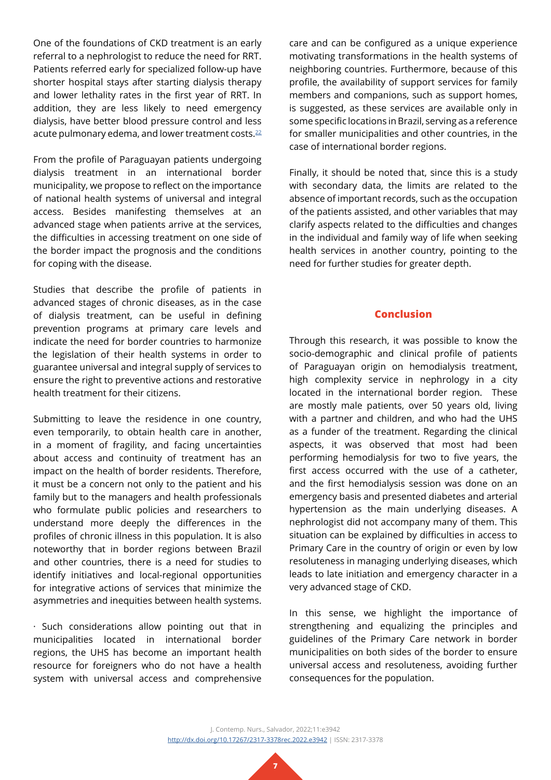One of the foundations of CKD treatment is an early referral to a nephrologist to reduce the need for RRT. Patients referred early for specialized follow-up have shorter hospital stays after starting dialysis therapy and lower lethality rates in the first year of RRT. In addition, they are less likely to need emergency dialysis, have better blood pressure control and less acute pulmonary edema, and lower treatment costs.<sup>[22](#page-8-5)</sup>

From the profile of Paraguayan patients undergoing dialysis treatment in an international border municipality, we propose to reflect on the importance of national health systems of universal and integral access. Besides manifesting themselves at an advanced stage when patients arrive at the services, the difficulties in accessing treatment on one side of the border impact the prognosis and the conditions for coping with the disease.

Studies that describe the profile of patients in advanced stages of chronic diseases, as in the case of dialysis treatment, can be useful in defining prevention programs at primary care levels and indicate the need for border countries to harmonize the legislation of their health systems in order to guarantee universal and integral supply of services to ensure the right to preventive actions and restorative health treatment for their citizens.

Submitting to leave the residence in one country, even temporarily, to obtain health care in another, in a moment of fragility, and facing uncertainties about access and continuity of treatment has an impact on the health of border residents. Therefore, it must be a concern not only to the patient and his family but to the managers and health professionals who formulate public policies and researchers to understand more deeply the differences in the profiles of chronic illness in this population. It is also noteworthy that in border regions between Brazil and other countries, there is a need for studies to identify initiatives and local-regional opportunities for integrative actions of services that minimize the asymmetries and inequities between health systems.

· Such considerations allow pointing out that in municipalities located in international border regions, the UHS has become an important health resource for foreigners who do not have a health system with universal access and comprehensive

care and can be configured as a unique experience motivating transformations in the health systems of neighboring countries. Furthermore, because of this profile, the availability of support services for family members and companions, such as support homes, is suggested, as these services are available only in some specific locations in Brazil, serving as a reference for smaller municipalities and other countries, in the case of international border regions.

Finally, it should be noted that, since this is a study with secondary data, the limits are related to the absence of important records, such as the occupation of the patients assisted, and other variables that may clarify aspects related to the difficulties and changes in the individual and family way of life when seeking health services in another country, pointing to the need for further studies for greater depth.

#### **Conclusion**

Through this research, it was possible to know the socio-demographic and clinical profile of patients of Paraguayan origin on hemodialysis treatment, high complexity service in nephrology in a city located in the international border region. These are mostly male patients, over 50 years old, living with a partner and children, and who had the UHS as a funder of the treatment. Regarding the clinical aspects, it was observed that most had been performing hemodialysis for two to five years, the first access occurred with the use of a catheter, and the first hemodialysis session was done on an emergency basis and presented diabetes and arterial hypertension as the main underlying diseases. A nephrologist did not accompany many of them. This situation can be explained by difficulties in access to Primary Care in the country of origin or even by low resoluteness in managing underlying diseases, which leads to late initiation and emergency character in a very advanced stage of CKD.

In this sense, we highlight the importance of strengthening and equalizing the principles and guidelines of the Primary Care network in border municipalities on both sides of the border to ensure universal access and resoluteness, avoiding further consequences for the population.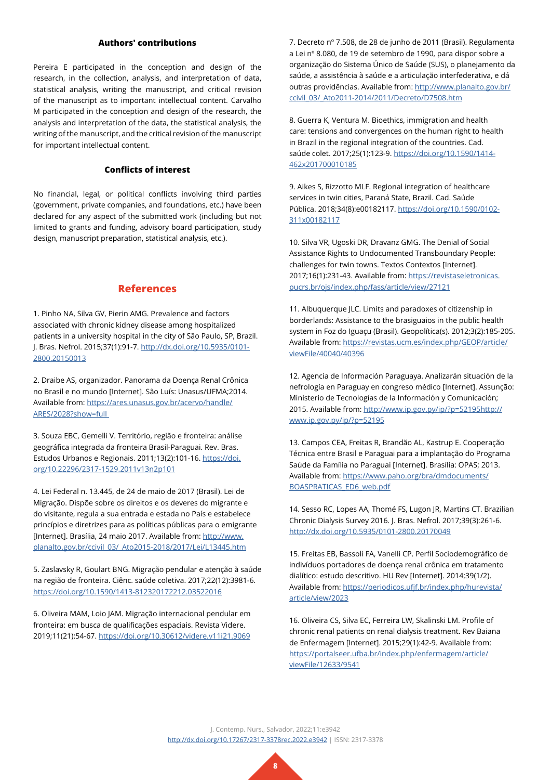#### **Authors' contributions**

Pereira E participated in the conception and design of the research, in the collection, analysis, and interpretation of data, statistical analysis, writing the manuscript, and critical revision of the manuscript as to important intellectual content. Carvalho M participated in the conception and design of the research, the analysis and interpretation of the data, the statistical analysis, the writing of the manuscript, and the critical revision of the manuscript for important intellectual content.

#### **Conflicts of interest**

No financial, legal, or political conflicts involving third parties (government, private companies, and foundations, etc.) have been declared for any aspect of the submitted work (including but not limited to grants and funding, advisory board participation, study design, manuscript preparation, statistical analysis, etc.).

#### **References**

<span id="page-7-0"></span>1. Pinho NA, Silva GV, Pierin AMG. Prevalence and factors associated with chronic kidney disease among hospitalized patients in a university hospital in the city of São Paulo, SP, Brazil. J. Bras. Nefrol. 2015;37(1):91-7. [http://dx.doi.org/10.5935/0101-](http://dx.doi.org/10.5935/0101-2800.20150013) [2800.20150013](http://dx.doi.org/10.5935/0101-2800.20150013)

<span id="page-7-1"></span>2. Draibe AS, organizador. Panorama da Doença Renal Crônica no Brasil e no mundo [Internet]. São Luís: Unasus/UFMA;2014. Available from: [https://ares.unasus.gov.br/acervo/handle/](https://ares.unasus.gov.br/acervo/handle/ARES/2028?show=full ) [ARES/2028?show=full](https://ares.unasus.gov.br/acervo/handle/ARES/2028?show=full ) 

<span id="page-7-2"></span>3. Souza EBC, Gemelli V. Território, região e fronteira: análise geográfica integrada da fronteira Brasil-Paraguai. Rev. Bras. Estudos Urbanos e Regionais. 2011;13(2):101-16. [https://doi.](https://doi.org/10.22296/2317-1529.2011v13n2p101) [org/10.22296/2317-1529.2011v13n2p101](https://doi.org/10.22296/2317-1529.2011v13n2p101)

<span id="page-7-3"></span>4. Lei Federal n. 13.445, de 24 de maio de 2017 (Brasil). Lei de Migração. Dispõe sobre os direitos e os deveres do migrante e do visitante, regula a sua entrada e estada no País e estabelece princípios e diretrizes para as políticas públicas para o emigrante [Internet]. Brasília, 24 maio 2017. Available from: [http://www.](http://www.planalto.gov.br/ccivil_03/_Ato2015-2018/2017/Lei/L13445.htm) [planalto.gov.br/ccivil\\_03/\\_Ato2015-2018/2017/Lei/L13445.htm](http://www.planalto.gov.br/ccivil_03/_Ato2015-2018/2017/Lei/L13445.htm)

<span id="page-7-4"></span>5. Zaslavsky R, Goulart BNG. Migração pendular e atenção à saúde na região de fronteira. Ciênc. saúde coletiva. 2017;22(12):3981-6. <https://doi.org/10.1590/1413-812320172212.03522016>

<span id="page-7-5"></span>6. Oliveira MAM, Loio JAM. Migração internacional pendular em fronteira: em busca de qualificações espaciais. Revista Videre. 2019;11(21):54-67. <https://doi.org/10.30612/videre.v11i21.9069>

<span id="page-7-6"></span>7. Decreto nº 7.508, de 28 de junho de 2011 (Brasil). Regulamenta a Lei nº 8.080, de 19 de setembro de 1990, para dispor sobre a organização do Sistema Único de Saúde (SUS), o planejamento da saúde, a assistência à saúde e a articulação interfederativa, e dá outras providências. Available from: [http://www.planalto.gov.br/](http://www.planalto.gov.br/ccivil_03/_Ato2011-2014/2011/Decreto/D7508.htm) [ccivil\\_03/\\_Ato2011-2014/2011/Decreto/D7508.htm](http://www.planalto.gov.br/ccivil_03/_Ato2011-2014/2011/Decreto/D7508.htm)

<span id="page-7-7"></span>8. Guerra K, Ventura M. Bioethics, immigration and health care: tensions and convergences on the human right to health in Brazil in the regional integration of the countries. Cad. saúde colet. 2017;25(1):123-9. [https://doi.org/10.1590/1414-](https://doi.org/10.1590/1414-462x201700010185) [462x201700010185](https://doi.org/10.1590/1414-462x201700010185)

<span id="page-7-8"></span>9. Aikes S, Rizzotto MLF. Regional integration of healthcare services in twin cities, Paraná State, Brazil. Cad. Saúde Pública. 2018;34(8):e00182117. [https://doi.org/10.1590/0102-](https://doi.org/10.1590/0102-311x00182117) [311x00182117](https://doi.org/10.1590/0102-311x00182117)

<span id="page-7-9"></span>10. Silva VR, Ugoski DR, Dravanz GMG. The Denial of Social Assistance Rights to Undocumented Transboundary People: challenges for twin towns. Textos Contextos [Internet]. 2017;16(1):231-43. Available from: [https://revistaseletronicas.](https://revistaseletronicas.pucrs.br/ojs/index.php/fass/article/view/27121) [pucrs.br/ojs/index.php/fass/article/view/27121](https://revistaseletronicas.pucrs.br/ojs/index.php/fass/article/view/27121)

<span id="page-7-10"></span>11. Albuquerque JLC. Limits and paradoxes of citizenship in borderlands: Assistance to the brasiguaios in the public health system in Foz do Iguaçu (Brasil). Geopolítica(s). 2012;3(2):185-205. Available from: [https://revistas.ucm.es/index.php/GEOP/article/](https://revistas.ucm.es/index.php/GEOP/article/viewFile/40040/40396) [viewFile/40040/40396](https://revistas.ucm.es/index.php/GEOP/article/viewFile/40040/40396)

<span id="page-7-11"></span>12. Agencia de Información Paraguaya. Analizarán situación de la nefrología en Paraguay en congreso médico [Internet]. Assunção: Ministerio de Tecnologías de la Información y Comunicación; 2015. Available from: [http://www.ip.gov.py/ip/?p=52195http://](http://www.ip.gov.py/ip/?p=52195http://www.ip.gov.py/ip/?p=52195) [www.ip.gov.py/ip/?p=52195](http://www.ip.gov.py/ip/?p=52195http://www.ip.gov.py/ip/?p=52195)

<span id="page-7-12"></span>13. Campos CEA, Freitas R, Brandão AL, Kastrup E. Cooperação Técnica entre Brasil e Paraguai para a implantação do Programa Saúde da Família no Paraguai [Internet]. Brasília: OPAS; 2013. Available from: [https://www.paho.org/bra/dmdocuments/](https://www.paho.org/bra/dmdocuments/BOASPRATICAS_ED6_web.pdf) [BOASPRATICAS\\_ED6\\_web.pdf](https://www.paho.org/bra/dmdocuments/BOASPRATICAS_ED6_web.pdf)

<span id="page-7-13"></span>14. Sesso RC, Lopes AA, Thomé FS, Lugon JR, Martins CT. Brazilian Chronic Dialysis Survey 2016. J. Bras. Nefrol. 2017;39(3):261-6. <http://dx.doi.org/10.5935/0101-2800.20170049>

<span id="page-7-15"></span>15. Freitas EB, Bassoli FA, Vanelli CP. Perfil Sociodemográfico de indivíduos portadores de doença renal crônica em tratamento dialítico: estudo descritivo. HU Rev [Internet]. 2014;39(1/2). Available from: [https://periodicos.ufjf.br/index.php/hurevista/](https://periodicos.ufjf.br/index.php/hurevista/article/view/2023) [article/view/2023](https://periodicos.ufjf.br/index.php/hurevista/article/view/2023)

<span id="page-7-14"></span>16. Oliveira CS, Silva EC, Ferreira LW, Skalinski LM. Profile of chronic renal patients on renal dialysis treatment. Rev Baiana de Enfermagem [Internet]. 2015;29(1):42-9. Available from: [https://portalseer.ufba.br/index.php/enfermagem/article/](https://portalseer.ufba.br/index.php/enfermagem/article/viewFile/12633/9541) [viewFile/12633/9541](https://portalseer.ufba.br/index.php/enfermagem/article/viewFile/12633/9541)